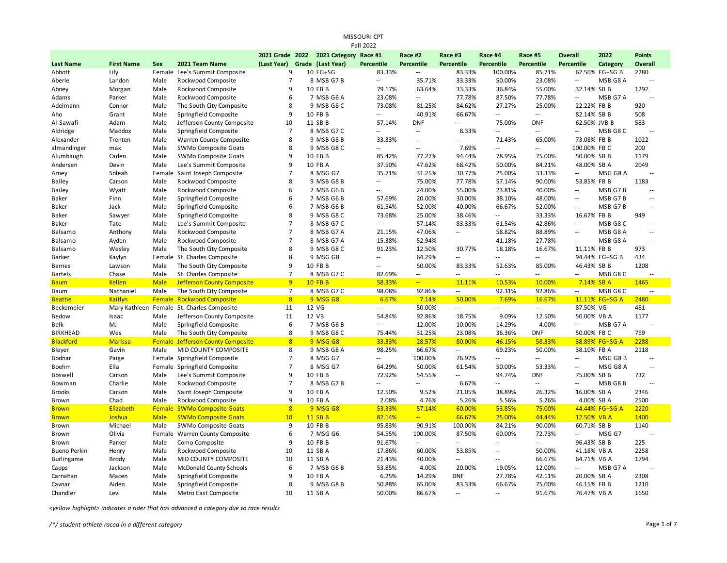| <b>Fall 2022</b>    |                   |             |                                   |                 |  |                   |                          |                          |                          |                |                          |                          |                |                          |
|---------------------|-------------------|-------------|-----------------------------------|-----------------|--|-------------------|--------------------------|--------------------------|--------------------------|----------------|--------------------------|--------------------------|----------------|--------------------------|
|                     |                   |             |                                   | 2021 Grade 2022 |  | 2021 Category     | Race #1                  | Race #2                  | Race #3                  | Race #4        | Race #5                  | Overall                  | 2022           | <b>Points</b>            |
| <b>Last Name</b>    | <b>First Name</b> | <b>Sex</b>  | 2021 Team Name                    | (Last Year)     |  | Grade (Last Year) | Percentile               | Percentile               | Percentile               | Percentile     | Percentile               | Percentile               | Category       | Overall                  |
| Abbott              | Lily              |             | Female Lee's Summit Composite     | 9               |  | 10 FG+SG          | 83.33%                   | $\sim$ $\sim$            | 83.33%                   | 100.00%        | 85.71%                   |                          | 62.50% FG+SG B | 2280                     |
| Aberle              | Landon            | Male        | Rockwood Composite                | $\overline{7}$  |  | 8 MSB G7B         | $\overline{a}$           | 35.71%                   | 33.33%                   | 50.00%         | 23.08%                   | $\sim$                   | MSB G8 A       | $\sim$                   |
| Abney               | Morgan            | Male        | Rockwood Composite                | 9               |  | 10 FB B           | 79.17%                   | 63.64%                   | 33.33%                   | 36.84%         | 55.00%                   | 32.14% SB B              |                | 1292                     |
| Adams               | Parker            | Male        | Rockwood Composite                | 6               |  | 7 MSB G6 A        | 23.08%                   | $\ddotsc$                | 77.78%                   | 87.50%         | 77.78%                   | $\overline{\phantom{a}}$ | MSB G7 A       |                          |
| Adelmann            | Connor            | Male        | The South City Composite          | 8               |  | 9 MSB G8 C        | 73.08%                   | 81.25%                   | 84.62%                   | 27.27%         | 25.00%                   | 22.22% FB B              |                | 920                      |
| Aho                 | Grant             | Male        | Springfield Composite             | 9               |  | 10 FB B           | $\overline{a}$           | 40.91%                   | 66.67%                   | $-1$           | $\sim$ $\sim$            | 82.14% SB B              |                | 508                      |
| Al-Sawafi           | Adam              | Male        | Jefferson County Composite        | 10              |  | 11 SB B           | 57.14%                   | <b>DNF</b>               | u.                       | 75.00%         | <b>DNF</b>               | 62.50% JVB B             |                | 583                      |
| Aldridge            | Maddox            | Male        | Springfield Composite             | $\overline{7}$  |  | 8 MSB G7 C        | $\sim$                   | $\mathcal{L}$            | 8.33%                    | $\overline{a}$ | $\mathbb{Z}^2$           | $\sim$                   | MSB G8 C       | $\overline{\phantom{a}}$ |
| Alexander           | Trenten           | Male        | Warren County Composite           | 8               |  | 9 MSB G8 B        | 33.33%                   | $\sim$ $\sim$            | $\overline{a}$           | 71.43%         | 65.00%                   | 73.08% FB B              |                | 1022                     |
| almandinger         | max               | Male        | SWMo Composite Goats              | 8               |  | 9 MSB G8 C        | $\overline{a}$           | $\sim$ $\sim$            | 7.69%                    | ٠.             | $\overline{\phantom{a}}$ | 100.00% FB C             |                | 200                      |
| Alumbaugh           | Caden             | Male        | SWMo Composite Goats              | 9               |  | 10 FB B           | 85.42%                   | 77.27%                   | 94.44%                   | 78.95%         | 75.00%                   | 50.00% SB B              |                | 1179                     |
| Andersen            | Devin             | Male        | Lee's Summit Composite            | 9               |  | 10 FB A           | 37.50%                   | 47.62%                   | 68.42%                   | 50.00%         | 84.21%                   | 48.00% SB A              |                | 2049                     |
| Arney               | Soleah            |             | Female Saint Joseph Composite     | $\overline{7}$  |  | 8 MSG G7          | 35.71%                   | 31.25%                   | 30.77%                   | 25.00%         | 33.33%                   | $\overline{a}$           | MSG G8 A       |                          |
| <b>Bailey</b>       | Carson            | Male        | Rockwood Composite                | 8               |  | 9 MSB G8 B        | $\overline{\phantom{a}}$ | 75.00%                   | 77.78%                   | 57.14%         | 90.00%                   | 53.85% FB B              |                | 1183                     |
| <b>Bailey</b>       | Wyatt             | Male        | Rockwood Composite                | 6               |  | 7 MSB G6 B        | $\overline{a}$           | 24.00%                   | 55.00%                   | 23.81%         | 40.00%                   | $\sim$                   | MSB G7B        | $\sim$                   |
| Baker               | Finn              | Male        | Springfield Composite             | 6               |  | 7 MSB G6 B        | 57.69%                   | 20.00%                   | 30.00%                   | 38.10%         | 48.00%                   | $\sim$                   | MSB G7B        | $\sim$                   |
| Baker               | Jack              | Male        | Springfield Composite             | 6               |  | 7 MSB G6 B        | 61.54%                   | 52.00%                   | 40.00%                   | 66.67%         | 52.00%                   | $\sim$                   | MSB G7B        | $\overline{a}$           |
| Baker               | Sawyer            | Male        | Springfield Composite             | 8               |  | 9 MSB G8 C        | 73.68%                   | 25.00%                   | 38.46%                   | --             | 33.33%                   | 16.67% FB B              |                | 949                      |
| Baker               | Tate              | Male        | Lee's Summit Composite            | $\overline{7}$  |  | 8 MSB G7 C        | $- -$                    | 57.14%                   | 83.33%                   | 61.54%         | 42.86%                   | $\sim$ $\sim$            | MSB G8 C       | $\sim$                   |
| Balsamo             | Anthony           | Male        | Rockwood Composite                | $\overline{7}$  |  | 8 MSB G7 A        | 21.15%                   | 47.06%                   | $\overline{\phantom{a}}$ | 58.82%         | 88.89%                   | $\sim$                   | MSB G8 A       | $\sim$ $\sim$            |
| Balsamo             | Ayden             | Male        | Rockwood Composite                | $\overline{7}$  |  | 8 MSB G7 A        | 15.38%                   | 52.94%                   | $\overline{\phantom{a}}$ | 41.18%         | 27.78%                   | $-$                      | MSB G8 A       | $\sim$                   |
| Balsamo             | Wesley            | Male        | The South City Composite          | 8               |  | 9 MSB G8 C        | 91.23%                   | 12.50%                   | 30.77%                   | 18.18%         | 16.67%                   | 11.11% FB B              |                | 973                      |
| <b>Barker</b>       | Kaylyn            |             | Female St. Charles Composite      | 8               |  | 9 MSG G8          | $\overline{a}$           | 64.29%                   | u.                       | $\overline{a}$ | Ξ.                       |                          | 94.44% FG+SG B | 434                      |
| <b>Barnes</b>       | Lawson            | Male        | The South City Composite          | 9               |  | 10 FB B           | $\overline{\phantom{a}}$ | 50.00%                   | 83.33%                   | 52.63%         | 85.00%                   | 46.43% SB B              |                | 1208                     |
| <b>Bartels</b>      | Chase             | Male        | St. Charles Composite             | $\overline{7}$  |  | 8 MSB G7 C        | 82.69%                   | $\overline{\phantom{a}}$ | $\overline{a}$           | $-1$           | $\overline{\phantom{a}}$ | ٠.                       | MSB G8 C       |                          |
| <b>Baum</b>         | <b>Kellen</b>     | <b>Male</b> | <b>Jefferson County Composite</b> | 9               |  | <b>10 FB B</b>    | 58.33%                   | $\perp$ .                | 11.11%                   | 10.53%         | 10.00%                   | 7.14% SB A               |                | 1465                     |
| Baum                | Nathaniel         | Male        | The South City Composite          | $\overline{7}$  |  | 8 MSB G7 C        | 98.08%                   | 92.86%                   | $\sim$                   | 92.31%         | 92.86%                   | $\sim$                   | MSB G8 C       | $\sim$ $\sim$            |
| <b>Beattie</b>      | Kaitlyn           |             | Female Rockwood Composite         | 8               |  | 9 MSG G8          | 6.67%                    | 7.14%                    | 50.00%                   | 7.69%          | 16.67%                   |                          | 11.11% FG+SG A | 2480                     |
| Beckemeier          | Mary Kathleen     | Female      | St. Charles Composite             | 11              |  | 12 VG             | $\overline{a}$           | 50.00%                   | $\overline{\phantom{a}}$ | --             | $\overline{\phantom{a}}$ | 87.50% VG                |                | 481                      |
| Bedow               | Isaac             | Male        | Jefferson County Composite        | 11              |  | 12 VB             | 54.84%                   | 92.86%                   | 18.75%                   | 9.09%          | 12.50%                   | 50.00% VB A              |                | 1177                     |
| Belk                | MJ                | Male        | Springfield Composite             | 6               |  | 7 MSB G6 B        | $\overline{\phantom{a}}$ | 12.00%                   | 10.00%                   | 14.29%         | 4.00%                    | $\overline{\phantom{a}}$ | MSB G7 A       | $\sim$ $\sim$            |
| <b>BIRKHEAD</b>     | Wes               | Male        | The South City Composite          | 8               |  | 9 MSB G8 C        | 75.44%                   | 31.25%                   | 23.08%                   | 36.36%         | <b>DNF</b>               | 50.00% FB C              |                | 759                      |
| <b>Blackford</b>    | <b>Marissa</b>    |             | Female Jefferson County Composite | 8               |  | 9 MSG G8          | 33.33%                   | 28.57%                   | 80.00%                   | 46.15%         | 58.33%                   |                          | 38.89% FG+SG A | 2288                     |
| Bleyer              | Gavin             | Male        | MID COUNTY COMPOSITE              | 8               |  | 9 MSB G8 A        | 98.25%                   | 66.67%                   | $\mathbb{Z}^2$           | 69.23%         | 50.00%                   | 38.10% FB A              |                | 2118                     |
| Bodnar              | Paige             |             | Female Springfield Composite      | $\overline{7}$  |  | 8 MSG G7          | ٠.                       | 100.00%                  | 76.92%                   | ٠.             | $\overline{\phantom{a}}$ | $\overline{\phantom{a}}$ | MSG G8 B       |                          |
| <b>Boehm</b>        | Ella              |             | Female Springfield Composite      | $\overline{7}$  |  | 8 MSG G7          | 64.29%                   | 50.00%                   | 61.54%                   | 50.00%         | 53.33%                   | $\sim$ $\sim$            | MSG G8 A       | $\sim$                   |
| <b>Boswell</b>      | Carson            | Male        | Lee's Summit Composite            | 9               |  | 10 FB B           | 72.92%                   | 54.55%                   | $\overline{a}$           | 94.74%         | <b>DNF</b>               | 75.00% SB B              |                | 732                      |
| Bowman              | Charlie           | Male        | Rockwood Composite                | $\overline{7}$  |  | 8 MSB G7 B        | $\overline{a}$           | $\overline{\phantom{a}}$ | 6.67%                    | --             | $\overline{\phantom{a}}$ | $\sim$                   | MSB G8B        | $\sim$ $\sim$            |
| <b>Brooks</b>       | Carson            | Male        | Saint Joseph Composite            | 9               |  | 10 FB A           | 12.50%                   | 9.52%                    | 21.05%                   | 38.89%         | 26.32%                   | 16.00% SB A              |                | 2346                     |
| Brown               | Chad              | Male        | Rockwood Composite                | 9               |  | 10 FB A           | 2.08%                    | 4.76%                    | 5.26%                    | 5.56%          | 5.26%                    | 4.00% SB A               |                | 2500                     |
| <b>Brown</b>        | Elizabeth         | Female      | <b>SWMo Composite Goats</b>       | 8               |  | 9 MSG G8          | 53.33%                   | 57.14%                   | 60.00%                   | 53.85%         | 75.00%                   |                          | 44.44% FG+SG A | 2220                     |
| <b>Brown</b>        | Joshua            | <b>Male</b> | <b>SWMo Composite Goats</b>       | 10              |  | 11 SB B           | 82.14%                   | u,                       | 66.67%                   | 25.00%         | 44.44%                   | 12.50% VB A              |                | 1400                     |
| Brown               | Michael           | Male        | SWMo Composite Goats              | 9               |  | 10 FB B           | 95.83%                   | 90.91%                   | 100.00%                  | 84.21%         | 90.00%                   | 60.71% SB B              |                | 1140                     |
| Brown               | Olivia            | Female      | Warren County Composite           | 6               |  | 7 MSG G6          | 54.55%                   | 100.00%                  | 87.50%                   | 60.00%         | 72.73%                   | $\overline{\phantom{a}}$ | MSG G7         | $\sim$                   |
| Brown               | Parker            | Male        | Como Composite                    | 9               |  | 10 FB B           | 91.67%                   | $\sim$ $\sim$            | $\overline{a}$           | $-$            | $\sim$ $\sim$            | 96.43% SB B              |                | 225                      |
| <b>Bueno Perkin</b> | Henry             | Male        | Rockwood Composite                | 10              |  | 11 SB A           | 17.86%                   | 60.00%                   | 53.85%                   | $\sim$         | 50.00%                   | 41.18% VB A              |                | 2258                     |
| <b>Burlingame</b>   | <b>Brody</b>      | Male        | MID COUNTY COMPOSITE              | 10              |  | 11 SB A           | 21.43%                   | 40.00%                   | $\overline{a}$           | $\overline{a}$ | 66.67%                   | 64.71% VB A              |                | 1794                     |
| Capps               | Jackson           | Male        | <b>McDonald County Schools</b>    | 6               |  | 7 MSB G6 B        | 53.85%                   | 4.00%                    | 20.00%                   | 19.05%         | 12.00%                   | $\overline{\phantom{a}}$ | MSB G7 A       |                          |
| Carnahan            | Macen             | Male        | Springfield Composite             | q               |  | 10 FB A           | 6.25%                    | 14.29%                   | <b>DNF</b>               | 27.78%         | 42.11%                   | 20.00% SB A              |                | 2308                     |
| Cavnar              | Aiden             | Male        | Springfield Composite             | 8               |  | 9 MSB G8 B        | 50.88%                   | 65.00%                   | 83.33%                   | 66.67%         | 75.00%                   | 46.15% FB B              |                | 1210                     |
| Chandler            | Levi              | Male        | Metro East Composite              | 10              |  | 11 SB A           | 50.00%                   | 86.67%                   | $\sim$                   | $\sim$         | 91.67%                   | 76.47% VB A              |                | 1650                     |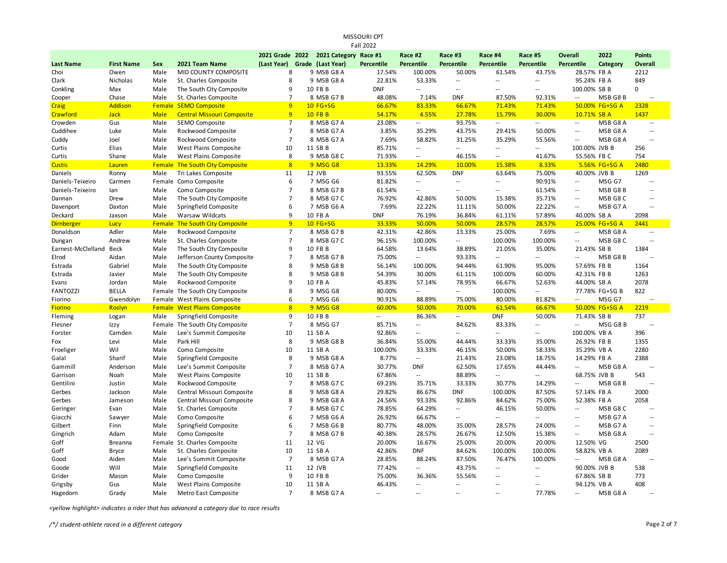| MISSOURI CPT<br><b>Fall 2022</b> |                   |             |                                        |                 |  |                       |                   |                            |                          |                          |                          |                             |                |                |
|----------------------------------|-------------------|-------------|----------------------------------------|-----------------|--|-----------------------|-------------------|----------------------------|--------------------------|--------------------------|--------------------------|-----------------------------|----------------|----------------|
|                                  |                   |             |                                        | 2021 Grade 2022 |  | 2021 Category Race #1 |                   | Race #2                    | Race #3                  | Race #4                  | Race #5                  | <b>Overall</b>              | 2022           | <b>Points</b>  |
| <b>Last Name</b>                 | <b>First Name</b> | Sex         | 2021 Team Name                         | (Last Year)     |  | Grade (Last Year)     | <b>Percentile</b> | Percentile                 | Percentile               | Percentile               | Percentile               | <b>Percentile</b>           | Category       | Overall        |
| Choi                             | Owen              | Male        | MID COUNTY COMPOSITE                   | 8               |  | 9 MSB G8 A            | 17.54%            | 100.00%                    | 50.00%                   | 61.54%                   | 43.75%                   | 28.57% FB A                 |                | 2212           |
| Clark                            | Nicholas          | Male        | St. Charles Composite                  | 8               |  | 9 MSB G8 A            | 22.81%            | 53.33%                     | $\overline{\phantom{a}}$ | $\overline{a}$           | Ξ.                       | 95.24% FB A                 |                | 849            |
| Conkling                         | Max               | Male        | The South City Composite               | 9               |  | 10 FB B               | <b>DNF</b>        | $\overline{\phantom{a}}$   | $\sim$                   | $\overline{a}$           | $\overline{a}$           | 100.00% SB B                |                | $\mathbf 0$    |
| Cooper                           | Chase             | Male        | St. Charles Composite                  | $\overline{7}$  |  | 8 MSB G7B             | 48.08%            | 7.14%                      | <b>DNF</b>               | 87.50%                   | 92.31%                   | $\sim$                      | MSB G8B        | $\sim$ $-$     |
| Craig                            | <b>Addison</b>    |             | Female SEMO Composite                  | 9               |  | 10 FG+SG              | 66.67%            | 83.33%                     | 66.67%                   | 71.43%                   | 71.43%                   |                             | 50.00% FG+SG A | 2328           |
| Crawford                         | <b>Jack</b>       | <b>Male</b> | <b>Central Missouri Composite</b>      | 9               |  | <b>10 FB B</b>        | 54.17%            | 4.55%                      | 27.78%                   | 15.79%                   | 30.00%                   | 10.71% SB A                 |                | 1437           |
| Crowden                          | Gus               | Male        | SEMO Composite                         | $\overline{7}$  |  | 8 MSB G7 A            | 23.08%            | $\sim$                     | 93.75%                   | $\sim$                   | u.                       | $\sim$                      | MSB G8 A       | $\sim$         |
| Cuddihee                         | Luke              | Male        | Rockwood Composite                     | $\overline{7}$  |  | 8 MSB G7 A            | 3.85%             | 35.29%                     | 43.75%                   | 29.41%                   | 50.00%                   | $\overline{\phantom{a}}$    | MSB G8 A       | $\sim$ $\sim$  |
| Cuddy                            | Joel              | Male        | Rockwood Composite                     | $\overline{7}$  |  | 8 MSB G7 A            | 7.69%             | 58.82%                     | 31.25%                   | 35.29%                   | 55.56%                   | $\sim$ $\sim$               | MSB G8 A       | $\sim$         |
| Curtis                           | Elias             | Male        | West Plains Composite                  | 10              |  | 11 SB B               | 85.71%            | $\overline{\phantom{a}}$   | $\overline{\phantom{a}}$ | $\overline{\phantom{a}}$ | --                       | 100.00% JVB B               |                | 256            |
| Curtis                           | Shane             | Male        | West Plains Composite                  | 8               |  | 9 MSB G8 C            | 71.93%            | Ξ.                         | 46.15%                   | $\sim$                   | 41.67%                   | 55.56% FB C                 |                | 754            |
| <b>Custis</b>                    | Lauren            |             | Female The South City Composite        | 8               |  | 9 MSG G8              | 13.33%            | 14.29%                     | 10.00%                   | 15.38%                   | 8.33%                    |                             | 5.56% FG+SG A  | 2480           |
| Daniels                          | Ronny             | Male        | Tri Lakes Composite                    | 11              |  | 12 JVB                | 93.55%            | 62.50%                     | <b>DNF</b>               | 63.64%                   | 75.00%                   | 40.00% JVB B                |                | 1269           |
| Daniels-Teixeiro                 | Carmen            |             | Female Como Composite                  | 6               |  | 7 MSG G6              | 81.82%            | $\sim$                     | $\sim$                   | $-$                      | 90.91%                   | $\overline{\phantom{a}}$    | MSG G7         | $\sim$ $\sim$  |
| Daniels-Teixeiro                 | lan               | Male        | Como Composite                         | $\overline{7}$  |  | 8 MSB G7 B            | 61.54%            | Ξ.                         | $\sim$                   | $\overline{\phantom{a}}$ | 61.54%                   | $\overline{\phantom{a}}$    | MSB G8B        | $\sim$         |
| Dannan                           | Drew              | Male        | The South City Composite               | $\overline{7}$  |  | 8 MSB G7 C            | 76.92%            | 42.86%                     | 50.00%                   | 15.38%                   | 35.71%                   | $\sim$ $\sim$               | MSB G8C        | $\sim$ $\sim$  |
| Davenport                        | Daxton            | Male        | Springfield Composite                  | 6               |  | 7 MSB G6 A            | 7.69%             | 22.22%                     | 11.11%                   | 50.00%                   | 22.22%                   | $\sim$ $\sim$               | MSB G7 A       | $\sim$ $\sim$  |
| Deckard                          | Jaxson            | Male        | Warsaw Wildcats                        | 9               |  | 10 FB A               | <b>DNF</b>        | 76.19%                     | 36.84%                   | 61.11%                   | 57.89%                   | 40.00% SB A                 |                | 2098           |
| <b>Dirnberger</b>                | Lucy              |             | <b>Female The South City Composite</b> | 9               |  | 10 FG+SG              | 33.33%            | 50.00%                     | 50.00%                   | 28.57%                   | 28.57%                   |                             | 25.00% FG+SG A | 2441           |
| Donaldson                        | Adler             | Male        | Rockwood Composite                     | $\overline{7}$  |  | 8 MSB G7B             | 42.31%            | 42.86%                     | 13.33%                   | 25.00%                   | 7.69%                    | $\sim$                      | MSB G8 A       | $\sim$ $\sim$  |
| Dungan                           | Andrew            | Male        | St. Charles Composite                  | $\overline{7}$  |  | 8 MSB G7 C            | 96.15%            | 100.00%                    | $\overline{\phantom{a}}$ | 100.00%                  | 100.00%                  | $\mathcal{L}_{\mathcal{A}}$ | MSB G8C        | $\sim$ $\sim$  |
| Earnest-McClelland               | Beck              | Male        | The South City Composite               | 9               |  | 10 FB B               | 64.58%            | 13.64%                     | 38.89%                   | 21.05%                   | 35.00%                   | 21.43% SB B                 |                | 1384           |
| Elrod                            | Aidan             | Male        | Jefferson County Composite             | $\overline{7}$  |  | 8 MSB G7 B            | 75.00%            | Ξ.                         | 93.33%                   | Ξ.                       | Ξ.                       | L.                          | MSB G8B        |                |
| Estrada                          | Gabriel           | Male        | The South City Composite               | 8               |  | 9 MSB G8 B            | 56.14%            | 100.00%                    | 94.44%                   | 61.90%                   | 95.00%                   | 57.69% FB B                 |                | 1164           |
| Estrada                          | Javier            | Male        | The South City Composite               | 8               |  | 9 MSB G8 B            | 54.39%            | 30.00%                     | 61.11%                   | 100.00%                  | 60.00%                   | 42.31% FB B                 |                | 1263           |
| Evans                            | Jordan            | Male        | Rockwood Composite                     | 9               |  | 10 FB A               | 45.83%            | 57.14%                     | 78.95%                   | 66.67%                   | 52.63%                   | 44.00% SB A                 |                | 2078           |
| <b>FANTOZZI</b>                  | <b>BELLA</b>      |             | Female The South City Composite        | 8               |  | 9 MSG G8              | 80.00%            | Ξ.                         | $\overline{\phantom{a}}$ | 100.00%                  | Ξ.                       |                             | 77.78% FG+SG B | 822            |
| Fiorino                          | Gwendolyn         |             | Female West Plains Composite           | 6               |  | 7 MSG G6              | 90.91%            | 88.89%                     | 75.00%                   | 80.00%                   | 81.82%                   | $\sim$ $\sim$               | MSG G7         | $\sim$ $\sim$  |
| <b>Fiorino</b>                   | Roslyn            |             | <b>Female West Plains Composite</b>    | 8               |  | 9 MSG G8              | 60.00%            | 50.00%                     | 70.00%                   | 61.54%                   | 66.67%                   |                             | 50.00% FG+SG A | 2219           |
| Fleming                          | Logan             | Male        | Springfield Composite                  | 9               |  | 10 FB B               | $\overline{a}$    | 86.36%                     | $\overline{\phantom{a}}$ | <b>DNF</b>               | 50.00%                   | 71.43% SB B                 |                | 737            |
| Flesner                          | Izzy              |             | Female The South City Composite        | $\overline{7}$  |  | 8 MSG G7              | 85.71%            | $\overline{\phantom{a}}$   | 84.62%                   | 83.33%                   | $\overline{a}$           | $\sim$ $\sim$               | MSG G8B        | $\sim$         |
| Forster                          | Camden            | Male        | Lee's Summit Composite                 | 10              |  | 11 SB A               | 92.86%            | u.                         | $\overline{\phantom{a}}$ | $\sim$                   | $\overline{\phantom{a}}$ | 100.00% VB A                |                | 396            |
| Fox                              | Levi              | Male        | Park Hill                              | 8               |  | 9 MSB G8 B            | 36.84%            | 55.00%                     | 44.44%                   | 33.33%                   | 35.00%                   | 26.92% FB B                 |                | 1355           |
| Froeliger                        | Wil               | Male        | Como Composite                         | 10              |  | 11 SB A               | 100.00%           | 33.33%                     | 46.15%                   | 50.00%                   | 58.33%                   | 35.29% VB A                 |                | 2280           |
| Galal                            | Sharif            | Male        | Springfield Composite                  | 8               |  | 9 MSB G8 A            | 8.77%             | u.                         | 21.43%                   | 23.08%                   | 18.75%                   | 14.29% FB A                 |                | 2388           |
| Gammill                          | Anderson          | Male        | Lee's Summit Composite                 | $\overline{7}$  |  | 8 MSB G7 A            | 30.77%            | <b>DNF</b>                 | 62.50%                   | 17.65%                   | 44.44%                   | $\sim$ $\sim$               | MSB G8 A       | $\overline{a}$ |
| Garrison                         | Noah              | Male        | West Plains Composite                  | 10              |  | 11 SB B               | 67.86%            | $\overline{\phantom{a}}$   | 88.89%                   | $\sim$                   | $\mathbb{L}$             | 68.75% JVB B                |                | 543            |
| Gentilini                        | Justin            | Male        | Rockwood Composite                     | $\overline{7}$  |  | 8 MSB G7 C            | 69.23%            | 35.71%                     | 33.33%                   | 30.77%                   | 14.29%                   | $\sim$ $\sim$               | MSB G8B        | $\sim$ $\sim$  |
| Gerbes                           | Jackson           | Male        | Central Missouri Composite             | 8               |  | 9 MSB G8 A            | 29.82%            | 86.67%                     | <b>DNF</b>               | 100.00%                  | 87.50%                   | 57.14% FB A                 |                | 2000           |
| Gerbes                           | Jameson           | Male        | Central Missouri Composite             | 8               |  | 9 MSB G8 A            | 24.56%            | 93.33%                     | 92.86%                   | 84.62%                   | 75.00%                   | 52.38% FB A                 |                | 2058           |
| Geringer                         | Evan              | Male        | St. Charles Composite                  | $\overline{7}$  |  | 8 MSB G7 C            | 78.85%            | 64.29%                     | $\sim$                   | 46.15%                   | 50.00%                   | $\sim$ $\sim$               | MSB G8 C       | $\sim$ $\sim$  |
| Giacchi                          | Sawyer            | Male        | Como Composite                         | 6               |  | 7 MSB G6 A            | 26.92%            | 66.67%                     | $\sim$ $\sim$            | $\sim$                   | $\sim$                   | $\sim$                      | MSB G7 A       | $\sim$ $\sim$  |
| Gilbert                          | Finn              | Male        | Springfield Composite                  | 6               |  | 7 MSB G6 B            | 80.77%            | 48.00%                     | 35.00%                   | 28.57%                   | 24.00%                   | $\overline{\phantom{a}}$    | MSB G7 A       | $\sim$         |
| Gingrich                         | Adam              | Male        | Como Composite                         | $\overline{7}$  |  | 8 MSB G7 B            | 40.38%            | 28.57%                     | 26.67%                   | 12.50%                   | 15.38%                   | $\sim$ $\sim$               | MSB G8 A       | $\sim$ $\sim$  |
| Goff                             | <b>Breanna</b>    | Female      | St. Charles Composite                  | 11              |  | 12 VG                 | 20.00%            | 16.67%                     | 25.00%                   | 20.00%                   | 20.00%                   | 12.50% VG                   |                | 2500           |
| Goff                             | <b>Bryce</b>      | Male        | St. Charles Composite                  | 10              |  | 11 SB A               | 42.86%            | <b>DNF</b>                 | 84.62%                   | 100.00%                  | 100.00%                  | 58.82% VB A                 |                | 2089           |
| Good                             | Aiden             | Male        | Lee's Summit Composite                 | $\overline{7}$  |  | 8 MSB G7 A            | 28.85%            | 88.24%                     | 87.50%                   | 76.47%                   | 100.00%                  | $\overline{\phantom{a}}$    | MSB G8 A       | $\overline{a}$ |
| Goode                            | Will              | Male        | Springfield Composite                  | 11              |  | 12 JVB                | 77.42%            | $\overline{a}$             | 43.75%                   | $\overline{a}$           | $\overline{a}$           | 90.00% JVB B                |                | 538            |
| Grider                           | Mason             | Male        | Como Composite                         | 9               |  | 10 FB B               | 75.00%            | 36.36%                     | 55.56%                   | $\overline{a}$           | $\overline{a}$           | 67.86% SB B                 |                | 773            |
| Grigsby                          | Gus               | Male        | <b>West Plains Composite</b>           | 10              |  | 11 SB A               | 46.43%            | $\overline{\phantom{a}}$ . | ٠.                       | $-$                      | Ξ.                       | 94.12% VB A                 |                | 408            |
| Hagedorn                         | Grady             | Male        | Metro East Composite                   | $\overline{7}$  |  | 8 MSB G7 A            | $\overline{a}$    | $\overline{a}$             | $\sim$ $\sim$            | $\overline{a}$           | 77.78%                   | $\overline{a}$              | MSB G8 A       |                |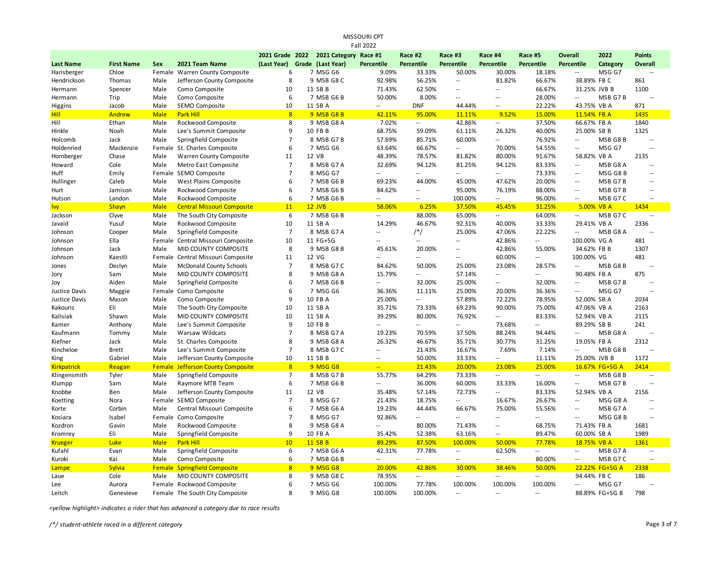| Fall 2022          |                   |             |                                          |                 |  |                       |                             |                   |                          |                             |                          |                          |                |               |
|--------------------|-------------------|-------------|------------------------------------------|-----------------|--|-----------------------|-----------------------------|-------------------|--------------------------|-----------------------------|--------------------------|--------------------------|----------------|---------------|
|                    |                   |             |                                          | 2021 Grade 2022 |  | 2021 Category Race #1 |                             | Race #2           | Race #3                  | Race #4                     | Race #5                  | <b>Overall</b>           | 2022           | <b>Points</b> |
| <b>Last Name</b>   | <b>First Name</b> | <b>Sex</b>  | 2021 Team Name                           | (Last Year)     |  | Grade (Last Year)     | Percentile                  | <b>Percentile</b> | Percentile               | Percentile                  | <b>Percentile</b>        | Percentile               | Category       | Overall       |
| Harisberger        | Chloe             |             | Female Warren County Composite           | 6               |  | 7 MSG G6              | 9.09%                       | 33.33%            | 50.00%                   | 30.00%                      | 18.18%                   | $\sim$ $\sim$            | MSG G7         | $\sim$ $\sim$ |
| Hendrickson        | Thomas            | Male        | Jefferson County Composite               | 8               |  | 9 MSB G8 C            | 92.98%                      | 56.25%            | $\overline{\phantom{a}}$ | 81.82%                      | 66.67%                   | 38.89% FB C              |                | 861           |
| Hermann            | Spencer           | Male        | Como Composite                           | 10              |  | 11 SB B               | 71.43%                      | 62.50%            | $\sim$ $\sim$            | $\sim$ $\sim$               | 66.67%                   | 31.25% JVB B             |                | 1100          |
| Hermann            | Trip              | Male        | Como Composite                           | 6               |  | 7 MSB G6 B            | 50.00%                      | 8.00%             | $\sim$                   | $\sim$                      | 28.00%                   | $\overline{a}$           | MSB G7B        |               |
| Higgins            | Jacob             | Male        | SEMO Composite                           | 10              |  | 11 SB A               | $\overline{a}$              | <b>DNF</b>        | 44.44%                   | $\overline{\phantom{a}}$    | 22.22%                   | 43.75% VB A              |                | 871           |
| Hill               | Andrew            | <b>Male</b> | Park Hill                                | 8               |  | 9 MSB G8 B            | 42.11%                      | 95.00%            | 11.11%                   | 9.52%                       | 15.00%                   | 11.54% FB A              |                | 1435          |
| Hill               | Ethan             | Male        | Rockwood Composite                       | 8               |  | 9 MSB G8 A            | 7.02%                       | Ξ.                | 42.86%                   | $\sim$                      | 37.50%                   | 66.67% FB A              |                | 1840          |
| Hinkle             | Noah              | Male        | Lee's Summit Composite                   | 9               |  | 10 FB B               | 68.75%                      | 59.09%            | 61.11%                   | 26.32%                      | 40.00%                   | 25.00% SB B              |                | 1325          |
| Holcomb            | Jack              | Male        | Springfield Composite                    | $\overline{7}$  |  | 8 MSB G7B             | 57.69%                      | 85.71%            | 60.00%                   | $\mathcal{L}_{\mathcal{A}}$ | 76.92%                   | $\sim$ $\sim$            | MSB G8B        | $\sim$        |
| Holdenried         | Mackenzie         |             | Female St. Charles Composite             | 6               |  | 7 MSG G6              | 63.64%                      | 66.67%            | $\overline{\phantom{a}}$ | 70.00%                      | 54.55%                   | $\overline{\phantom{a}}$ | MSG G7         | $\sim$        |
| Hornberger         | Chase             | Male        | Warren County Composite                  | 11              |  | 12 VB                 | 48.39%                      | 78.57%            | 81.82%                   | 80.00%                      | 91.67%                   | 58.82% VB A              |                | 2135          |
| Howard             | Cole              | Male        | Metro East Composite                     | $\overline{7}$  |  | 8 MSB G7 A            | 32.69%                      | 94.12%            | 81.25%                   | 94.12%                      | 83.33%                   | $\sim$ $\sim$            | MSB G8 A       |               |
| Huff               | Emily             | Female      | SEMO Composite                           | $\overline{7}$  |  | 8 MSG G7              | $\overline{a}$              | $\overline{a}$    | $\overline{\phantom{a}}$ | $\sim$                      | 73.33%                   | $\sim$                   | MSG G8B        | $\sim$        |
| Hullinger          | Caleb             | Male        | <b>West Plains Composite</b>             | 6               |  | 7 MSB G6 B            | 69.23%                      | 44.00%            | 45.00%                   | 47.62%                      | 20.00%                   | $\sim$ $\sim$            | MSB G7B        | $\sim$ $\sim$ |
| Hurt               | Jamison           | Male        | Rockwood Composite                       | 6               |  | 7 MSB G6 B            | 84.62%                      | --                | 95.00%                   | 76.19%                      | 88.00%                   | $\overline{\phantom{a}}$ | MSB G7B        | $\sim$        |
| Hutson             | Landon            | Male        | Rockwood Composite                       | 6               |  | 7 MSB G6 B            | --                          | $\overline{a}$    | 100.00%                  | $\mathcal{L}_{\mathcal{A}}$ | 96.00%                   | $\sim$ $\sim$            | MSB G7 C       | $\sim$ $\sim$ |
| Ivy                | <b>Shayn</b>      | <b>Male</b> | <b>Central Missouri Composite</b>        | 11              |  | $12$ JVB              | 58.06%                      | 6.25%             | 37.50%                   | 45.45%                      | 31.25%                   | 5.00% VB A               |                | 1434          |
| Jackson            | Clyve             | Male        | The South City Composite                 | 6               |  | 7 MSB G6 B            | $\overline{\phantom{a}}$    | 88.00%            | 65.00%                   | $\sim$                      | 64.00%                   | $\sim$                   | MSB G7 C       | $\sim$        |
| Javaid             | Yusuf             | Male        | Rockwood Composite                       | 10              |  | 11 SB A               | 14.29%                      | 46.67%            | 92.31%                   | 40.00%                      | 33.33%                   | 29.41% VB A              |                | 2336          |
| Johnson            | Cooper            | Male        | Springfield Composite                    | $\overline{7}$  |  | 8 MSB G7 A            | $\overline{a}$              | $/*/$             | 25.00%                   | 47.06%                      | 22.22%                   | $\sim$ $\sim$            | MSB G8 A       |               |
| Johnson            | Ella              | Female      | Central Missouri Composite               | 10              |  | 11 FG+SG              |                             | Ξ.                | $\overline{\phantom{a}}$ | 42.86%                      | $\overline{\phantom{a}}$ | 100.00% VG A             |                | 481           |
| Johnson            | Jack              | Male        | MID COUNTY COMPOSITE                     | 8               |  | 9 MSB G8 B            | 45.61%                      | 20.00%            | $\sim$ $\sim$            | 42.86%                      | 55.00%                   | 34.62% FB B              |                | 1307          |
| Johnson            | Kaestli           |             | Female Central Missouri Composite        | 11              |  | 12 VG                 |                             | Ξ.                | $\overline{\phantom{a}}$ | 60.00%                      | --                       | 100.00% VG               |                | 481           |
| Jones              | Declyn            | Male        | <b>McDonald County Schools</b>           | $\overline{7}$  |  | 8 MSB G7 C            | 84.62%                      | 50.00%            | 25.00%                   | 23.08%                      | 28.57%                   | $\overline{\phantom{a}}$ | MSB G8B        | $\sim$        |
| Jory               | Sam               | Male        | MID COUNTY COMPOSITE                     | 8               |  | 9 MSB G8 A            | 15.79%                      | Ξ.                | 57.14%                   | $\overline{\phantom{a}}$    | $\overline{a}$           | 90.48% FB A              |                | 875           |
| Joy                | Aiden             | Male        | Springfield Composite                    | 6               |  | 7 MSB G6 B            | $\overline{a}$              | 32.00%            | 25.00%                   | $\sim$ $-$                  | 32.00%                   | $\sim$                   | MSB G7B        | $\sim$        |
| Justice Davis      | Maggie            | Female      | Como Composite                           | 6               |  | 7 MSG G6              | 36.36%                      | 11.11%            | 25.00%                   | 20.00%                      | 36.36%                   | $\sim$ $\sim$            | MSG G7         | $\sim$ $\sim$ |
| Justice Davis      | Mason             | Male        | Como Composite                           | 9               |  | 10 FB A               | 25.00%                      | Ξ.                | 57.89%                   | 72.22%                      | 78.95%                   | 52.00% SB A              |                | 2034          |
| Kakouris           | Eli               | Male        | The South City Composite                 | 10              |  | 11 SB A               | 35.71%                      | 73.33%            | 69.23%                   | 90.00%                      | 75.00%                   | 47.06% VB A              |                | 2163          |
| Kalisiak           | Shawn             | Male        | MID COUNTY COMPOSITE                     | 10              |  | 11 SB A               | 39.29%                      | 80.00%            | 76.92%                   | $\mathcal{L}_{\mathcal{A}}$ | 83.33%                   | 52.94% VB A              |                | 2115          |
| Kamer              | Anthony           | Male        | Lee's Summit Composite                   | 9               |  | 10 FB B               | $\overline{a}$              | Ξ.                | $\overline{\phantom{a}}$ | 73.68%                      | н.                       | 89.29% SB B              |                | 241           |
| Kaufmann           | Tommy             | Male        | <b>Warsaw Wildcats</b>                   | $\overline{7}$  |  | 8 MSB G7 A            | 19.23%                      | 70.59%            | 37.50%                   | 88.24%                      | 94.44%                   | $\overline{\phantom{a}}$ | MSB G8 A       | $\sim$        |
| Kiefner            | Jack              | Male        | St. Charles Composite                    | 8               |  | 9 MSB G8 A            | 26.32%                      | 46.67%            | 35.71%                   | 30.77%                      | 31.25%                   | 19.05% FB A              |                | 2312          |
| Kincheloe          | <b>Brett</b>      | Male        | Lee's Summit Composite                   | $\overline{7}$  |  | 8 MSB G7 C            | $\overline{a}$              | 21.43%            | 16.67%                   | 7.69%                       | 7.14%                    | $\overline{\phantom{a}}$ | MSB G8B        |               |
| King               | Gabriel           | Male        | Jefferson County Composite               | 10              |  | 11 SB B               | $\sim$ $\sim$               | 50.00%            | 33.33%                   | $\sim$ $\sim$               | 11.11%                   | 25.00% JVB B             |                | 1172          |
| <b>Kirkpatrick</b> | Reagan            |             | <b>Female Jefferson County Composite</b> | 8               |  | 9 MSG G8              | $\mathbb{Z}^{\mathbb{Z}_2}$ | 21.43%            | 20.00%                   | 23.08%                      | 25.00%                   |                          | 16.67% FG+SG A | 2414          |
| Klingensmith       | Tyler             | Male        | Springfield Composite                    | $\overline{7}$  |  | 8 MSB G7 B            | 55.77%                      | 64.29%            | 73.33%                   | $\mathcal{L}_{\mathcal{A}}$ | $\overline{a}$           | $\sim$ $\sim$            | MSB G8B        | $\sim$ $\sim$ |
| Klumpp             | Sam               | Male        | Raymore MTB Team                         | 6               |  | 7 MSB G6 B            | --                          | 36.00%            | 60.00%                   | 33.33%                      | 16.00%                   | $\sim$ $\sim$            | MSB G7B        |               |
| Knobbe             | Ben               | Male        | Jefferson County Composite               | 11              |  | 12 VB                 | 35.48%                      | 57.14%            | 72.73%                   | $\sim$                      | 83.33%                   | 52.94% VB A              |                | 2156          |
| Koetting           | Nora              | Female      | SEMO Composite                           | $\overline{7}$  |  | 8 MSG G7              | 21.43%                      | 18.75%            | $\sim$ $\sim$            | 16.67%                      | 26.67%                   | $\overline{\phantom{a}}$ | MSG G8 A       |               |
| Korte              | Corbin            | Male        | Central Missouri Composite               | 6               |  | 7 MSB G6 A            | 19.23%                      | 44.44%            | 66.67%                   | 75.00%                      | 55.56%                   | $\sim$ $\sim$            | MSB G7 A       | $\sim$ $\sim$ |
| Kosiara            | Isabel            |             | Female Como Composite                    | $\overline{7}$  |  | 8 MSG G7              | 92.86%                      | Ξ.                | $\sim$ $\sim$            | $\overline{\phantom{a}}$    | $\overline{a}$           | $\sim$                   | MSG G8B        | $\sim$        |
| Kozdron            | Gavin             | Male        | Rockwood Composite                       | 8               |  | 9 MSB G8 A            | $\overline{a}$              | 80.00%            | 71.43%                   | $\sim$ $\sim$               | 68.75%                   | 71.43% FB A              |                | 1681          |
| Kromrey            | Eli               | Male        | Springfield Composite                    | 9               |  | 10 FB A               | 35.42%                      | 52.38%            | 63.16%                   | $\sim$                      | 89.47%                   | 60.00% SB A              |                | 1989          |
| <b>Krueger</b>     | Luke              | <b>Male</b> | <b>Park Hill</b>                         | 10              |  | 11 SB B               | 89.29%                      | 87.50%            | 100.00%                  | 50.00%                      | 77.78%                   | 18.75% VB A              |                | 1361          |
| Kufahl             | Evan              | Male        | Springfield Composite                    | 6               |  | 7 MSB G6 A            | 42.31%                      | 77.78%            | $\sim$                   | 62.50%                      | $\sim$                   | $\sim$ $\sim$            | MSB G7 A       | $\sim$ $\sim$ |
| Kuroki             | Kai               | Male        | Como Composite                           | 6               |  | 7 MSB G6 B            | $\overline{a}$              | ٠.                | $\overline{\phantom{m}}$ | $\sim$                      | 80.00%                   | $\sim$                   | MSB G7 C       | $\sim$ $\sim$ |
| Lampe              | <b>Sylvia</b>     | Female      | <b>Springfield Composite</b>             | 8               |  | 9 MSG G8              | 20.00%                      | 42.86%            | 30.00%                   | 38.46%                      | 50.00%                   |                          | 22.22% FG+SG A | 2338          |
| Laue               | Cole              | Male        | <b>MID COUNTY COMPOSITE</b>              | 8               |  | 9 MSB G8 C            | 78.95%                      | Ξ.                | $\overline{\phantom{a}}$ | $\ddotsc$                   | $\overline{\phantom{a}}$ | 94.44% FB C              |                | 186           |
| Lee                | Aurora            |             | Female Rockwood Composite                | 6               |  | 7 MSG G6              | 100.00%                     | 77.78%            | 100.00%                  | 100.00%                     | 100.00%                  | $\overline{a}$           | MSG G7         |               |
| Leitch             | Genevieve         |             | Female The South City Composite          | 8               |  | 9 MSG G8              | 100.00%                     | 100.00%           | $\sim$                   | $\sim$                      | $\sim$                   |                          | 88.89% FG+SG B | 798           |
|                    |                   |             |                                          |                 |  |                       |                             |                   |                          |                             |                          |                          |                |               |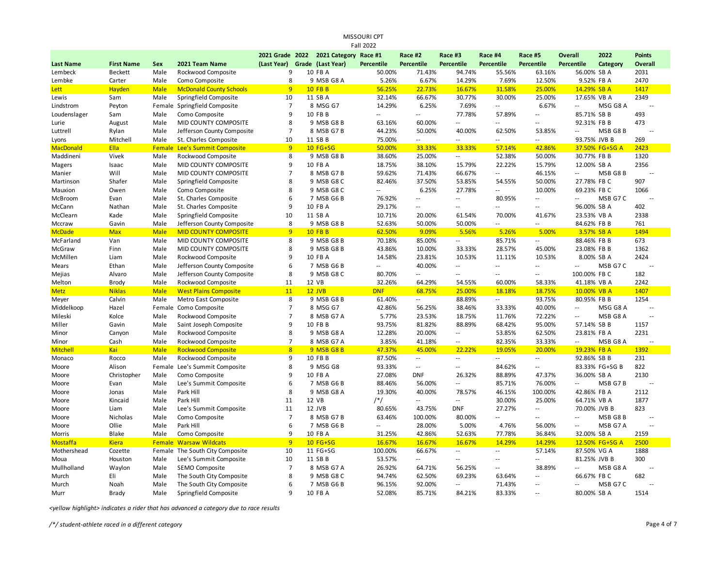|                  | MISSOURI CPT<br>Fall 2022 |             |                                      |                 |  |                       |                          |                   |                          |                          |                          |                          |                |                |
|------------------|---------------------------|-------------|--------------------------------------|-----------------|--|-----------------------|--------------------------|-------------------|--------------------------|--------------------------|--------------------------|--------------------------|----------------|----------------|
|                  |                           |             |                                      | 2021 Grade 2022 |  | 2021 Category Race #1 |                          | Race #2           | Race #3                  | Race #4                  | Race #5                  | <b>Overall</b>           | 2022           | <b>Points</b>  |
| <b>Last Name</b> | <b>First Name</b>         | Sex         | 2021 Team Name                       | (Last Year)     |  | Grade (Last Year)     | <b>Percentile</b>        | <b>Percentile</b> | Percentile               | Percentile               | <b>Percentile</b>        | <b>Percentile</b>        | Category       | <b>Overall</b> |
| Lembeck          | <b>Beckett</b>            | Male        | Rockwood Composite                   | 9               |  | 10 FB A               | 50.00%                   | 71.43%            | 94.74%                   | 55.56%                   | 63.16%                   | 56.00% SB A              |                | 2031           |
| Lembke           | Carter                    | Male        | Como Composite                       | 8               |  | 9 MSB G8 A            | 5.26%                    | 6.67%             | 14.29%                   | 7.69%                    | 12.50%                   | 9.52% FB A               |                | 2470           |
| Lett             | Hayden                    | <b>Male</b> | <b>McDonald County Schools</b>       | 9 <sup>°</sup>  |  | <b>10 FB B</b>        | 56.25%                   | 22.73%            | 16.67%                   | 31.58%                   | 25.00%                   | 14.29% SB A              |                | 1417           |
| Lewis            | Sam                       | Male        | Springfield Composite                | 10              |  | 11 SB A               | 32.14%                   | 66.67%            | 30.77%                   | 30.00%                   | 25.00%                   | 17.65% VB A              |                | 2349           |
| Lindstrom        | Peyton                    | Female      | Springfield Composite                | $\overline{7}$  |  | 8 MSG G7              | 14.29%                   | 6.25%             | 7.69%                    | $\sim$ $\sim$            | 6.67%                    | $\overline{a}$           | MSG G8 A       |                |
| Loudenslager     | Sam                       | Male        | Como Composite                       | 9               |  | 10 FB B               | $\overline{a}$           | $-$               | 77.78%                   | 57.89%                   | $\overline{a}$           | 85.71% SB B              |                | 493            |
| Lurie            | August                    | Male        | MID COUNTY COMPOSITE                 | 8               |  | 9 MSB G8 B            | 63.16%                   | 60.00%            | $\overline{\phantom{a}}$ | $\sim$ $\sim$            | ٠.                       | 92.31% FB B              |                | 473            |
| Luttrell         | Rylan                     | Male        | Jefferson County Composite           | $\overline{7}$  |  | 8 MSB G7B             | 44.23%                   | 50.00%            | 40.00%                   | 62.50%                   | 53.85%                   | $\overline{\phantom{a}}$ | MSB G8B        | 44             |
| Lyons            | Mitchell                  | Male        | St. Charles Composite                | 10              |  | 11 SB B               | 75.00%                   | $\overline{a}$    |                          |                          | $\overline{a}$           | 93.75% JVB B             |                | 269            |
| <b>MacDonald</b> | Ella                      |             | <b>Female Lee's Summit Composite</b> | 9 <sup>°</sup>  |  | 10 FG+SG              | 50.00%                   | 33.33%            | 33.33%                   | 57.14%                   | 42.86%                   |                          | 37.50% FG+SG A | 2423           |
| Maddineni        | Vivek                     | Male        | Rockwood Composite                   | 8               |  | 9 MSB G8 B            | 38.60%                   | 25.00%            | $\overline{\phantom{a}}$ | 52.38%                   | 50.00%                   | 30.77% FB B              |                | 1320           |
| Magers           | Isaac                     | Male        | MID COUNTY COMPOSITE                 | 9               |  | 10 FB A               | 18.75%                   | 38.10%            | 15.79%                   | 22.22%                   | 15.79%                   | 12.00% SB A              |                | 2356           |
| Manier           | Will                      | Male        | MID COUNTY COMPOSITE                 | $\overline{7}$  |  | 8 MSB G7B             | 59.62%                   | 71.43%            | 66.67%                   | $\sim$                   | 46.15%                   | Ξ.                       | MSB G8B        |                |
| Martinson        | Shafer                    | Male        | Springfield Composite                | 8               |  | 9 MSB G8 C            | 82.46%                   | 37.50%            | 53.85%                   | 54.55%                   | 50.00%                   | 27.78% FB C              |                | 907            |
| Mauxion          | Owen                      | Male        | Como Composite                       | 8               |  | 9 MSB G8 C            | $\overline{\phantom{a}}$ | 6.25%             | 27.78%                   | $\sim$                   | 10.00%                   | 69.23% FB C              |                | 1066           |
| McBroom          | Evan                      | Male        | St. Charles Composite                | 6               |  | 7 MSB G6 B            | 76.92%                   | Ξ.                | $\overline{\phantom{a}}$ | 80.95%                   | Щ.                       | Ξ.                       | MSB G7 C       | ÷.             |
| McCann           | Nathan                    | Male        | St. Charles Composite                | 9               |  | 10 FB A               | 29.17%                   | Ξ.                | $\overline{\phantom{a}}$ | $\overline{a}$           | Ξ.                       | 96.00% SB A              |                | 402            |
| McClearn         | Kade                      | Male        | Springfield Composite                | 10              |  | 11 SB A               | 10.71%                   | 20.00%            | 61.54%                   | 70.00%                   | 41.67%                   | 23.53% VB A              |                | 2338           |
| Mccraw           | Gavin                     | Male        | Jefferson County Composite           | 8               |  | 9 MSB G8 B            | 52.63%                   | 50.00%            | 50.00%                   | $\overline{\phantom{a}}$ |                          | 84.62% FB B              |                | 761            |
| <b>McDade</b>    | <b>Max</b>                | <b>Male</b> | <b>MID COUNTY COMPOSITE</b>          | 9 <sup>°</sup>  |  | <b>10 FB B</b>        | 62.50%                   | 9.09%             | 5.56%                    | 5.26%                    | 5.00%                    | 3.57% SB A               |                | 1494           |
| McFarland        | Van                       | Male        | MID COUNTY COMPOSITE                 | 8               |  | 9 MSB G8 B            | 70.18%                   | 85.00%            | $\overline{\phantom{a}}$ | 85.71%                   | $\overline{\phantom{a}}$ | 88.46% FB B              |                | 673            |
| McGraw           | Finn                      | Male        | MID COUNTY COMPOSITE                 | 8               |  | 9 MSB G8 B            | 43.86%                   | 10.00%            | 33.33%                   | 28.57%                   | 45.00%                   | 23.08% FB B              |                | 1362           |
| McMillen         | Liam                      | Male        | Rockwood Composite                   | 9               |  | 10 FB A               | 14.58%                   | 23.81%            | 10.53%                   | 11.11%                   | 10.53%                   | 8.00% SB A               |                | 2424           |
| Mears            | Ethan                     | Male        | Jefferson County Composite           | 6               |  | 7 MSB G6 B            | ٠.                       | 40.00%            | $\overline{\phantom{a}}$ | $\overline{\phantom{a}}$ | $\overline{\phantom{a}}$ | Ξ.                       | MSB G7 C       |                |
| Mejias           | Alvaro                    | Male        | Jefferson County Composite           | 8               |  | 9 MSB G8 C            | 80.70%                   | Ξ.                | $\overline{\phantom{a}}$ | $\sim$ $\sim$            | Ξ.                       | 100.00% FB C             |                | 182            |
| Melton           | <b>Brody</b>              | Male        | Rockwood Composite                   | 11              |  | 12 VB                 | 32.26%                   | 64.29%            | 54.55%                   | 60.00%                   | 58.33%                   | 41.18% VB A              |                | 2242           |
| <b>Metz</b>      | <b>Niklas</b>             | <b>Male</b> | <b>West Plains Composite</b>         | 11              |  | 12 JVB                | <b>DNF</b>               | 68.75%            | 25.00%                   | 18.18%                   | 18.75%                   | 10.00% VB A              |                | 1407           |
| Meyer            | Calvin                    | Male        | Metro East Composite                 | 8               |  | 9 MSB G8 B            | 61.40%                   | --                | 88.89%                   | $\sim$ $\sim$            | 93.75%                   | 80.95% FB B              |                | 1254           |
| Middelkoop       | Hazel                     |             | Female Como Composite                | $\overline{7}$  |  | 8 MSG G7              | 42.86%                   | 56.25%            | 38.46%                   | 33.33%                   | 40.00%                   | $\overline{\phantom{a}}$ | MSG G8 A       | $\overline{a}$ |
| Mileski          | Kolce                     | Male        | Rockwood Composite                   | $\overline{7}$  |  | 8 MSB G7 A            | 5.77%                    | 23.53%            | 18.75%                   | 11.76%                   | 72.22%                   | $\overline{a}$           | MSB G8 A       | 44             |
| Miller           | Gavin                     | Male        | Saint Joseph Composite               | 9               |  | 10 FB B               | 93.75%                   | 81.82%            | 88.89%                   | 68.42%                   | 95.00%                   | 57.14% SB B              |                | 1157           |
| Minor            | Canyon                    | Male        | Rockwood Composite                   | 8               |  | 9 MSB G8 A            | 12.28%                   | 20.00%            | $\overline{\phantom{a}}$ | 53.85%                   | 62.50%                   | 23.81% FB A              |                | 2231           |
| Minor            | Cash                      | Male        | Rockwood Composite                   | $\overline{7}$  |  | 8 MSB G7 A            | 3.85%                    | 41.18%            | --                       | 82.35%                   | 33.33%                   | $\overline{a}$           | MSB G8 A       |                |
| <b>Mitchell</b>  | Kai                       | <b>Male</b> | <b>Rockwood Composite</b>            | 8               |  | 9 MSB G8 B            | 47.37%                   | 45.00%            | 22.22%                   | 19.05%                   | 20.00%                   | 19.23% FB A              |                | 1392           |
| Monaco           | Rocco                     | Male        | Rockwood Composite                   | 9               |  | 10 FB B               | 87.50%                   | ٠.                | $\overline{\phantom{a}}$ | $\sim$ $\sim$            | $\sim$                   | 92.86% SB B              |                | 231            |
| Moore            | Alison                    |             | Female Lee's Summit Composite        | 8               |  | 9 MSG G8              | 93.33%                   | $\overline{a}$    | $\overline{\phantom{a}}$ | 84.62%                   | --                       |                          | 83.33% FG+SG B | 822            |
| Moore            | Christopher               | Male        | Como Composite                       | 9               |  | 10 FB A               | 27.08%                   | <b>DNF</b>        | 26.32%                   | 88.89%                   | 47.37%                   | 36.00% SB A              |                | 2130           |
| Moore            | Evan                      | Male        | Lee's Summit Composite               | 6               |  | 7 MSB G6 B            | 88.46%                   | 56.00%            | $\overline{\phantom{a}}$ | 85.71%                   | 76.00%                   | --                       | MSB G7B        | 44             |
| Moore            | Jonas                     | Male        | Park Hill                            | 8               |  | 9 MSB G8 A            | 19.30%                   | 40.00%            | 78.57%                   | 46.15%                   | 100.00%                  | 42.86% FB A              |                | 2112           |
| Moore            | Kincaid                   | Male        | Park Hill                            | 11              |  | 12 VB                 | $/*/$                    | --                | $\overline{\phantom{a}}$ | 30.00%                   | 25.00%                   | 64.71% VB A              |                | 1877           |
| Moore            | Liam                      | Male        | Lee's Summit Composite               | 11              |  | 12 JVB                | 80.65%                   | 43.75%            | <b>DNF</b>               | 27.27%                   | $\overline{\phantom{a}}$ | 70.00% JVB B             |                | 823            |
| Moore            | Nicholas                  | Male        | Como Composite                       | $\overline{7}$  |  | 8 MSB G7B             | 63.46%                   | 100.00%           | 80.00%                   | $\overline{a}$           | $\overline{a}$           | $\overline{a}$           | MSB G8B        | $\sim$         |
| Moore            | Ollie                     | Male        | Park Hill                            | 6               |  | 7 MSB G6 B            | $\sim$ $\sim$            | 28.00%            | 5.00%                    | 4.76%                    | 56.00%                   | Ξ.                       | MSB G7 A       | $\sim$         |
| Morris           | Blake                     | Male        | Como Composite                       | 9               |  | 10 FB A               | 31.25%                   | 42.86%            | 52.63%                   | 77.78%                   | 36.84%                   | 32.00% SB A              |                | 2159           |
| <b>Mostaffa</b>  | <b>Kiera</b>              |             | <b>Female Warsaw Wildcats</b>        | 9 <sup>°</sup>  |  | 10 FG+SG              | 16.67%                   | 16.67%            | 16.67%                   | 14.29%                   | 14.29%                   |                          | 12.50% FG+SG A | 2500           |
| Mothershead      | Cozette                   |             | Female The South City Composite      | 10              |  | 11 FG+SG              | 100.00%                  | 66.67%            | $\overline{\phantom{a}}$ | $\sim$                   | 57.14%                   | 87.50% VG A              |                | 1888           |
| Moua             | Houston                   | Male        | Lee's Summit Composite               | 10              |  | 11 SB B               | 53.57%                   | Ξ.                | $\overline{a}$           | $\sim$ $\sim$            | --                       | 81.25% JVB B             |                | 300            |
| Mullholland      | Waylon                    | Male        | SEMO Composite                       | $\overline{7}$  |  | 8 MSB G7 A            | 26.92%                   | 64.71%            | 56.25%                   | $\sim$ $\sim$            | 38.89%                   | $-$                      | MSB G8 A       |                |
| Murch            | Eli                       | Male        | The South City Composite             | 8               |  | 9 MSB G8 C            | 94.74%                   | 62.50%            | 69.23%                   | 63.64%                   | $\overline{a}$           | 66.67% FB C              |                | 682            |
| Murch            | Noah                      | Male        | The South City Composite             | 6               |  | 7 MSB G6 B            | 96.15%                   | 92.00%            | $\overline{a}$           | 71.43%                   | $\overline{a}$           | $-$                      | MSB G7 C       |                |
| Murr             | Brady                     | Male        | Springfield Composite                | $\mathbf{q}$    |  | 10 FB A               | 52.08%                   | 85.71%            | 84.21%                   | 83.33%                   | $\overline{a}$           | 80.00% SB A              |                | 1514           |

*<yellow highlight> indicates a rider that has advanced a category due to race results*

*/\*/ student-athlete raced in a different category* Page 4 of 7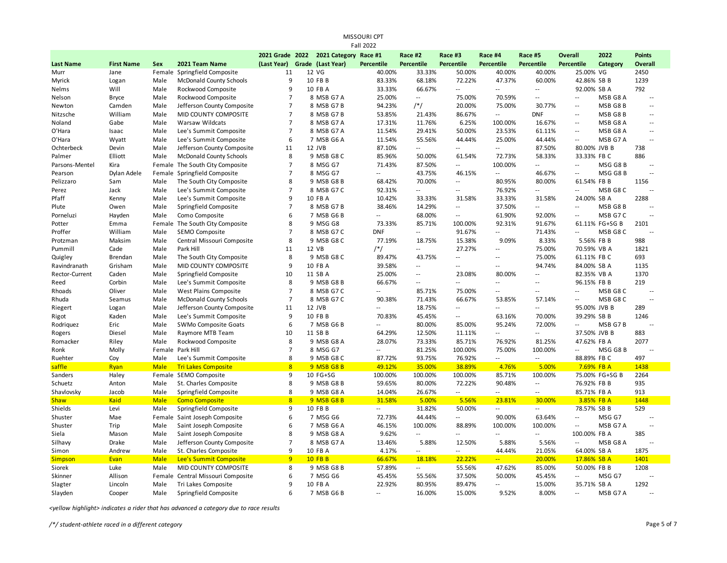| <b>Fall 2022</b> |                   |             |                                   |                 |  |                       |                          |                            |                          |                            |                          |                            |                |                |
|------------------|-------------------|-------------|-----------------------------------|-----------------|--|-----------------------|--------------------------|----------------------------|--------------------------|----------------------------|--------------------------|----------------------------|----------------|----------------|
|                  |                   |             |                                   | 2021 Grade 2022 |  | 2021 Category Race #1 |                          | Race #2                    | Race #3                  | Race #4                    | Race #5                  | Overall                    | 2022           | <b>Points</b>  |
| <b>Last Name</b> | <b>First Name</b> | Sex         | 2021 Team Name                    | (Last Year)     |  | Grade (Last Year)     | Percentile               | Percentile                 | Percentile               | Percentile                 | Percentile               | Percentile                 | Category       | <b>Overall</b> |
| Murr             | Jane              |             | Female Springfield Composite      | 11              |  | 12 VG                 | 40.00%                   | 33.33%                     | 50.00%                   | 40.00%                     | 40.00%                   | 25.00% VG                  |                | 2450           |
| Myrick           | Logan             | Male        | McDonald County Schools           | 9               |  | 10 FB B               | 83.33%                   | 68.18%                     | 72.22%                   | 47.37%                     | 60.00%                   | 42.86% SB B                |                | 1239           |
| Nelms            | Will              | Male        | Rockwood Composite                | 9               |  | 10 FB A               | 33.33%                   | 66.67%                     | $\overline{\phantom{a}}$ | $\overline{\phantom{a}}$ . | Ξ.                       | 92.00% SB A                |                | 792            |
| Nelson           | <b>Bryce</b>      | Male        | Rockwood Composite                | $\overline{7}$  |  | 8 MSB G7 A            | 25.00%                   | $\overline{\phantom{a}}$   | 75.00%                   | 70.59%                     | $\overline{a}$           | $\sim$                     | MSB G8 A       | $\sim$ $\sim$  |
| Newton           | Camden            | Male        | Jefferson County Composite        | $\overline{7}$  |  | 8 MSB G7 B            | 94.23%                   | $/*/$                      | 20.00%                   | 75.00%                     | 30.77%                   | $\overline{a}$             | MSB G8 B       | $\sim$         |
| Nitzsche         | William           | Male        | MID COUNTY COMPOSITE              | $\overline{7}$  |  | 8 MSB G7 B            | 53.85%                   | 21.43%                     | 86.67%                   | $\sim$ $\sim$              | <b>DNF</b>               | $\sim$ $\sim$              | MSB G8B        | $\sim$ $\sim$  |
| Noland           | Gabe              | Male        | Warsaw Wildcats                   | $\overline{7}$  |  | 8 MSB G7 A            | 17.31%                   | 11.76%                     | 6.25%                    | 100.00%                    | 16.67%                   | $\overline{a}$             | MSB G8 A       | $\sim$         |
| O'Hara           | Isaac             | Male        | Lee's Summit Composite            | $\overline{7}$  |  | 8 MSB G7 A            | 11.54%                   | 29.41%                     | 50.00%                   | 23.53%                     | 61.11%                   | $-$                        | MSB G8 A       | $\sim$ $\sim$  |
| O'Hara           | Wyatt             | Male        | Lee's Summit Composite            | 6               |  | 7 MSB G6 A            | 11.54%                   | 55.56%                     | 44.44%                   | 25.00%                     | 44.44%                   | $\overline{a}$             | MSB G7 A       | $-$            |
| Ochterbeck       | Devin             | Male        | Jefferson County Composite        | 11              |  | 12 JVB                | 87.10%                   | $\overline{\phantom{a}}$ . | $\overline{\phantom{a}}$ | $\overline{\phantom{a}}$   | 87.50%                   | 80.00% JVB B               |                | 738            |
| Palmer           | Elliott           | Male        | <b>McDonald County Schools</b>    | 8               |  | 9 MSB G8 C            | 85.96%                   | 50.00%                     | 61.54%                   | 72.73%                     | 58.33%                   | 33.33% FB C                |                | 886            |
| Parsons-Mentel   | Kira              |             | Female The South City Composite   | $\overline{7}$  |  | 8 MSG G7              | 71.43%                   | 87.50%                     | $\overline{\phantom{a}}$ | 100.00%                    | Ξ.                       | $\overline{a}$             | MSG G8B        | $\sim$         |
| Pearson          | Dylan Adele       | Female      | Springfield Composite             | $\overline{7}$  |  | 8 MSG G7              | $\overline{a}$           | 43.75%                     | 46.15%                   | $\sim$                     | 46.67%                   | $\overline{\phantom{a}}$ . | MSG G8B        | $\sim$         |
| Pelizzaro        | Sam               | Male        | The South City Composite          | 8               |  | 9 MSB G8 B            | 68.42%                   | 70.00%                     | $\overline{a}$           | 80.95%                     | 80.00%                   | 61.54% FB B                |                | 1156           |
| Perez            | Jack              | Male        | Lee's Summit Composite            | $\overline{7}$  |  | 8 MSB G7 C            | 92.31%                   | $\overline{\phantom{a}}$   | $\sim$ $\sim$            | 76.92%                     | Ξ.                       | $\sim$                     | MSB G8C        | $\sim$         |
| Pfaff            | Kenny             | Male        | Lee's Summit Composite            | 9               |  | 10 FB A               | 10.42%                   | 33.33%                     | 31.58%                   | 33.33%                     | 31.58%                   | 24.00% SB A                |                | 2288           |
| Plute            | Owen              | Male        | Springfield Composite             | $\overline{7}$  |  | 8 MSB G7 B            | 38.46%                   | 14.29%                     | $\sim$ $\sim$            | 37.50%                     | Ξ.                       | $\sim$                     | MSB G8B        | $\sim$         |
| Porneluzi        | Hayden            | Male        | Como Composite                    | 6               |  | 7 MSB G6 B            | Ξ.                       | 68.00%                     | $\sim$                   | 61.90%                     | 92.00%                   | $\overline{\phantom{a}}$   | MSB G7 C       | $\sim$         |
| Potter           | Emma              |             | Female The South City Composite   | 8               |  | 9 MSG G8              | 73.33%                   | 85.71%                     | 100.00%                  | 92.31%                     | 91.67%                   |                            | 61.11% FG+SG B | 2101           |
| Proffer          | William           | Male        | SEMO Composite                    | $\overline{7}$  |  | 8 MSB G7 C            | <b>DNF</b>               | $\overline{\phantom{a}}$ . | 91.67%                   | $\sim$                     | 71.43%                   | $\overline{a}$             | MSB G8C        |                |
| Protzman         | Maksim            | Male        | Central Missouri Composite        | 8               |  | 9 MSB G8 C            | 77.19%                   | 18.75%                     | 15.38%                   | 9.09%                      | 8.33%                    | 5.56% FB B                 |                | 988            |
| Pummill          | Cade              | Male        | Park Hill                         | 11              |  | 12 VB                 | /*/                      | $\overline{\phantom{a}}$   | 27.27%                   | $\sim$                     | 75.00%                   | 70.59% VB A                |                | 1821           |
| Quigley          | Brendan           | Male        | The South City Composite          | 8               |  | 9 MSB G8 C            | 89.47%                   | 43.75%                     | $\sim$ $\sim$            | $\sim$ $\sim$              | 75.00%                   | 61.11% FB C                |                | 693            |
| Ravindranath     | Grisham           | Male        | MID COUNTY COMPOSITE              | 9               |  | 10 FB A               | 39.58%                   | $\overline{a}$             | $\overline{\phantom{a}}$ | $\sim$ $\sim$              | 94.74%                   | 84.00% SB A                |                | 1135           |
| Rector-Current   | Caden             | Male        | Springfield Composite             | 10              |  | 11 SB A               | 25.00%                   | $\overline{\phantom{a}}$   | 23.08%                   | 80.00%                     | --                       | 82.35% VB A                |                | 1370           |
| Reed             | Corbin            | Male        | Lee's Summit Composite            | 8               |  | 9 MSB G8 B            | 66.67%                   | $\overline{a}$             | $\overline{a}$           | $\sim$                     | ă.                       | 96.15% FB B                |                | 219            |
| Rhoads           | Oliver            | Male        | West Plains Composite             | $\overline{7}$  |  | 8 MSB G7 C            | $\overline{a}$           | 85.71%                     | 75.00%                   | $\sim$ $\sim$              | $\overline{a}$           | $-$                        | MSB G8 C       | $\sim$         |
| Rhuda            | Seamus            | Male        | <b>McDonald County Schools</b>    | $\overline{7}$  |  | 8 MSB G7 C            | 90.38%                   | 71.43%                     | 66.67%                   | 53.85%                     | 57.14%                   | $\overline{a}$             | MSB G8 C       | $\sim$         |
| Riegert          | Logan             | Male        | Jefferson County Composite        | 11              |  | 12 JVB                | Ξ.                       | 18.75%                     | $\overline{\phantom{a}}$ | $\overline{\phantom{a}}$   | Ξ.                       | 95.00% JVB B               |                | 289            |
| Rigot            | Kaden             | Male        | Lee's Summit Composite            | 9               |  | 10 FB B               | 70.83%                   | 45.45%                     | $\sim$                   | 63.16%                     | 70.00%                   | 39.29% SB B                |                | 1246           |
| Rodriguez        | Eric              | Male        | SWMo Composite Goats              | 6               |  | 7 MSB G6 B            | $\overline{a}$           | 80.00%                     | 85.00%                   | 95.24%                     | 72.00%                   | $\sim$                     | MSB G7B        | $\sim$ $\sim$  |
| Rogers           | Diesel            | Male        | Raymore MTB Team                  | 10              |  | 11 SB B               | 64.29%                   | 12.50%                     | 11.11%                   | $\sim$ $\sim$              | ٠.                       | 37.50% JVB B               |                | 883            |
| Romacker         | Riley             | Male        | Rockwood Composite                | 8               |  | 9 MSB G8 A            | 28.07%                   | 73.33%                     | 85.71%                   | 76.92%                     | 81.25%                   | 47.62% FB A                |                | 2077           |
| Ronk             | Molly             |             | Female Park Hill                  | $\overline{7}$  |  | 8 MSG G7              | $\overline{a}$           | 81.25%                     | 100.00%                  | 75.00%                     | 100.00%                  | $\overline{\phantom{a}}$   | MSG G8B        | $\sim$         |
| Ruehter          | Coy               | Male        | Lee's Summit Composite            | 8               |  | 9 MSB G8 C            | 87.72%                   | 93.75%                     | 76.92%                   | $\overline{\phantom{a}}$   | $\overline{\phantom{a}}$ | 88.89% FB C                |                | 497            |
| saffle           | Ryan              | <b>Male</b> | <b>Tri Lakes Composite</b>        | 8               |  | 9 MSB G8 B            | 49.12%                   | 35.00%                     | 38.89%                   | 4.76%                      | 5.00%                    | 7.69% FB A                 |                | 1438           |
| Sanders          | Haley             |             | Female SEMO Composite             | 9               |  | 10 FG+SG              | 100.00%                  | 100.00%                    | 100.00%                  | 85.71%                     | 100.00%                  |                            | 75.00% FG+SG B | 2264           |
| Schuetz          | Anton             | Male        | St. Charles Composite             | 8               |  | 9 MSB G8 B            | 59.65%                   | 80.00%                     | 72.22%                   | 90.48%                     | $\overline{\phantom{a}}$ | 76.92% FB B                |                | 935            |
| Shavlovsky       | Jacob             | Male        | Springfield Composite             | 8               |  | 9 MSB G8 A            | 14.04%                   | 26.67%                     | $\overline{\phantom{a}}$ | $-$                        | ٠.                       | 85.71% FB A                |                | 913            |
| <b>Shaw</b>      | <b>Kaid</b>       | <b>Male</b> | <b>Como Composite</b>             | 8               |  | 9 MSB G8 B            | 31.58%                   | 5.00%                      | 5.56%                    | 23.81%                     | 30.00%                   | 3.85% FB A                 |                | 1448           |
| Shields          | Levi              | Male        | Springfield Composite             | 9               |  | 10 FB B               | $\overline{\phantom{a}}$ | 31.82%                     | 50.00%                   | $\sim$                     | $\overline{\phantom{a}}$ | 78.57% SB B                |                | 529            |
| Shuster          | Mae               | Female      | Saint Joseph Composite            | 6               |  | 7 MSG G6              | 72.73%                   | 44.44%                     | Ξ.                       | 90.00%                     | 63.64%                   | $\overline{a}$             | MSG G7         | $\sim$         |
| Shuster          | Trip              | Male        | Saint Joseph Composite            | 6               |  | 7 MSB G6 A            | 46.15%                   | 100.00%                    | 88.89%                   | 100.00%                    | 100.00%                  | $\sim$                     | MSB G7 A       | 4              |
| Siela            | Mason             | Male        | Saint Joseph Composite            | 8               |  | 9 MSB G8 A            | 9.62%                    | $\overline{\phantom{a}}$   | $\overline{\phantom{a}}$ | $\overline{\phantom{a}}$   | $\overline{\phantom{a}}$ | 100.00% FB A               |                | 385            |
| Silhavy          | Drake             | Male        | Jefferson County Composite        | $\overline{7}$  |  | 8 MSB G7 A            | 13.46%                   | 5.88%                      | 12.50%                   | 5.88%                      | 5.56%                    | $\sim$                     | MSB G8 A       | $\sim$         |
| Simon            | Andrew            | Male        | St. Charles Composite             | 9               |  | 10 FB A               | 4.17%                    | $\overline{\phantom{a}}$   | $\overline{\phantom{a}}$ | 44.44%                     | 21.05%                   | 64.00% SB A                |                | 1875           |
| Simpson          | Evan              | <b>Male</b> | Lee's Summit Composite            | 9               |  | <b>10 FB B</b>        | 66.67%                   | 18.18%                     | 22.22%                   | $\overline{a}$             | 20.00%                   | 17.86% SB A                |                | 1401           |
| Siorek           | Luke              | Male        | MID COUNTY COMPOSITE              | 8               |  | 9 MSB G8 B            | 57.89%                   | $\overline{\phantom{a}}$   | 55.56%                   | 47.62%                     | 85.00%                   | 50.00% FB B                |                | 1208           |
| Skinner          | Allison           |             | Female Central Missouri Composite | 6               |  | 7 MSG G6              | 45.45%                   | 55.56%                     | 37.50%                   | 50.00%                     | 45.45%                   | $\sim$                     | MSG G7         |                |
| Slagter          | Lincoln           | Male        | Tri Lakes Composite               | 9               |  | 10 FB A               | 22.92%                   | 80.95%                     | 89.47%                   | $\overline{\phantom{a}}$   | 15.00%                   | 35.71% SB A                |                | 1292           |
| Slayden          | Cooper            | Male        | Springfield Composite             | 6               |  | 7 MSB G6 B            | $\sim$                   | 16.00%                     | 15.00%                   | 9.52%                      | 8.00%                    | $\sim$                     | MSB G7 A       |                |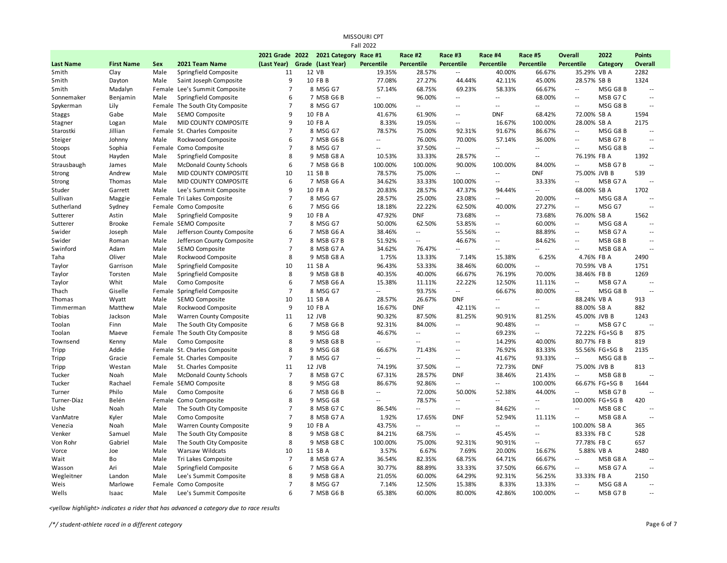| MISSOURI CPT<br><b>Fall 2022</b> |                   |      |                                 |                               |  |               |                          |                             |                          |                            |                          |                            |                 |                          |
|----------------------------------|-------------------|------|---------------------------------|-------------------------------|--|---------------|--------------------------|-----------------------------|--------------------------|----------------------------|--------------------------|----------------------------|-----------------|--------------------------|
|                                  |                   |      |                                 | 2021 Grade 2022               |  | 2021 Category | Race #1                  | Race #2                     | Race #3                  | Race #4                    | Race #5                  | <b>Overall</b>             | 2022            | <b>Points</b>            |
| <b>Last Name</b>                 | <b>First Name</b> | Sex  | 2021 Team Name                  | (Last Year) Grade (Last Year) |  |               | Percentile               | Percentile                  | Percentile               | Percentile                 | Percentile               | Percentile                 | Category        | Overall                  |
| Smith                            | Clay              | Male | Springfield Composite           | 11                            |  | 12 VB         | 19.35%                   | 28.57%                      | --                       | 40.00%                     | 66.67%                   | 35.29% VB A                |                 | 2282                     |
| Smith                            | Dayton            | Male | Saint Joseph Composite          | 9                             |  | 10 FB B       | 77.08%                   | 27.27%                      | 44.44%                   | 42.11%                     | 45.00%                   | 28.57% SB B                |                 | 1324                     |
| Smith                            | Madalyn           |      | Female Lee's Summit Composite   | $\overline{7}$                |  | 8 MSG G7      | 57.14%                   | 68.75%                      | 69.23%                   | 58.33%                     | 66.67%                   | $\sim$ $\sim$              | MSG G8B         | $\sim$                   |
| Sonnemaker                       | Benjamin          | Male | Springfield Composite           | 6                             |  | 7 MSB G6 B    | $\overline{\phantom{a}}$ | 96.00%                      | $\overline{a}$           | $\overline{\phantom{a}}$   | 68.00%                   | $\overline{\phantom{a}}$   | MSB G7 C        | $\sim$                   |
| Spykerman                        | Lily              |      | Female The South City Composite | $\overline{7}$                |  | 8 MSG G7      | 100.00%                  | $\sim$                      | $\sim$                   | $\sim$                     | ä.                       | $\sim$                     | MSG G8B         | $\sim$                   |
| Staggs                           | Gabe              | Male | SEMO Composite                  | 9                             |  | 10 FB A       | 41.67%                   | 61.90%                      | $\overline{a}$           | <b>DNF</b>                 | 68.42%                   | 72.00% SB A                |                 | 1594                     |
| Stagner                          | Logan             | Male | MID COUNTY COMPOSITE            | 9                             |  | 10 FB A       | 8.33%                    | 19.05%                      | $\overline{\phantom{a}}$ | 16.67%                     | 100.00%                  | 28.00% SB A                |                 | 2175                     |
| Starostki                        | Jillian           |      | Female St. Charles Composite    | $\overline{7}$                |  | 8 MSG G7      | 78.57%                   | 75.00%                      | 92.31%                   | 91.67%                     | 86.67%                   | $\sim$ $\sim$              | MSG G8B         | $\sim$ $\sim$            |
| Steiger                          | Johnny            | Male | Rockwood Composite              | 6                             |  | 7 MSB G6 B    | $\overline{a}$           | 76.00%                      | 70.00%                   | 57.14%                     | 36.00%                   | $\sim$ $\sim$              | MSB G7B         | $\sim$ $\sim$            |
| Stoops                           | Sophia            |      | Female Como Composite           | $\overline{7}$                |  | 8 MSG G7      | $\overline{\phantom{a}}$ | 37.50%                      | --                       | $\overline{a}$             | $\overline{\phantom{a}}$ | $\sim$ $\sim$              | MSG G8 B        | $\sim$ $\sim$            |
| Stout                            | Hayden            | Male | Springfield Composite           | 8                             |  | 9 MSB G8 A    | 10.53%                   | 33.33%                      | 28.57%                   | $\sim$                     | $\sim$ $\sim$            | 76.19% FB A                |                 | 1392                     |
| Strausbaugh                      | James             | Male | <b>McDonald County Schools</b>  | 6                             |  | 7 MSB G6 B    | 100.00%                  | 100.00%                     | 90.00%                   | 100.00%                    | 84.00%                   | $\sim$                     | MSB G7B         | 44                       |
| Strong                           | Andrew            | Male | MID COUNTY COMPOSITE            | 10                            |  | 11 SB B       | 78.57%                   | 75.00%                      | $\overline{a}$           | $\overline{a}$             | <b>DNF</b>               | 75.00% JVB B               |                 | 539                      |
| Strong                           | Thomas            | Male | MID COUNTY COMPOSITE            | 6                             |  | 7 MSB G6 A    | 34.62%                   | 33.33%                      | 100.00%                  | $\overline{\phantom{a}}$   | 33.33%                   | $\sim$                     | MSB G7 A        | $\sim$ $\sim$            |
| Studer                           | Garrett           | Male | Lee's Summit Composite          | 9                             |  | 10 FB A       | 20.83%                   | 28.57%                      | 47.37%                   | 94.44%                     | $\overline{\phantom{a}}$ | 68.00% SB A                |                 | 1702                     |
| Sullivan                         | Maggie            |      | Female Tri Lakes Composite      | $\overline{7}$                |  | 8 MSG G7      | 28.57%                   | 25.00%                      | 23.08%                   | $\overline{a}$             | 20.00%                   | $\overline{\phantom{a}}$   | MSG G8 A        | $\sim$                   |
| Sutherland                       | Sydney            |      | Female Como Composite           | 6                             |  | 7 MSG G6      | 18.18%                   | 22.22%                      | 62.50%                   | 40.00%                     | 27.27%                   | $\overline{\phantom{a}}$   | MSG G7          | $\sim$ $\sim$            |
| Sutterer                         | Astin             | Male | Springfield Composite           | 9                             |  | 10 FB A       | 47.92%                   | <b>DNF</b>                  | 73.68%                   | $\overline{a}$             | 73.68%                   | 76.00% SB A                |                 | 1562                     |
| Sutterer                         | <b>Brooke</b>     |      | Female SEMO Composite           | $\overline{7}$                |  | 8 MSG G7      | 50.00%                   | 62.50%                      | 53.85%                   | $\overline{a}$             | 60.00%                   | $\sim$ $\sim$              | MSG G8 A        | $\sim$ $\sim$            |
| Swider                           | Joseph            | Male | Jefferson County Composite      | 6                             |  | 7 MSB G6A     | 38.46%                   | $\mathcal{L}_{\mathcal{A}}$ | 55.56%                   | $\overline{\phantom{a}}$   | 88.89%                   | $\sim$ $\sim$              | MSB G7 A        | н.                       |
| Swider                           | Roman             | Male | Jefferson County Composite      | $\overline{7}$                |  | 8 MSB G7B     | 51.92%                   | $\mathcal{L}_{\mathcal{A}}$ | 46.67%                   | $\sim$                     | 84.62%                   | $\sim$ $\sim$              | MSB G8B         | $\sim$ $\sim$            |
| Swinford                         | Adam              | Male | SEMO Composite                  | $\overline{7}$                |  | 8 MSB G7 A    | 34.62%                   | 76.47%                      | Ξ.                       | $\overline{\phantom{a}}$   | $\overline{\phantom{a}}$ | $\sim$ $\sim$              | MSB G8 A        | $\overline{\phantom{a}}$ |
| Taha                             | Oliver            | Male | Rockwood Composite              | 8                             |  | 9 MSB G8 A    | 1.75%                    | 13.33%                      | 7.14%                    | 15.38%                     | 6.25%                    | 4.76% FB A                 |                 | 2490                     |
| Taylor                           | Garrison          | Male | Springfield Composite           | 10                            |  | 11 SB A       | 96.43%                   | 53.33%                      | 38.46%                   | 60.00%                     | $\overline{\phantom{a}}$ | 70.59% VB A                |                 | 1751                     |
| Taylor                           | Torsten           | Male | Springfield Composite           | 8                             |  | 9 MSB G8 B    | 40.35%                   | 40.00%                      | 66.67%                   | 76.19%                     | 70.00%                   | 38.46% FB B                |                 | 1269                     |
| Taylor                           | Whit              | Male | Como Composite                  | 6                             |  | 7 MSB G6 A    | 15.38%                   | 11.11%                      | 22.22%                   | 12.50%                     | 11.11%                   | Ξ.                         | MSB G7 A        | $\sim$ $-$               |
| Thach                            | Giselle           |      | Female Springfield Composite    | $\overline{7}$                |  | 8 MSG G7      | $\overline{a}$           | 93.75%                      | $\overline{a}$           | 66.67%                     | 80.00%                   | Ξ.                         | MSG G8B         | $\sim$                   |
| Thomas                           | Wyatt             | Male | SEMO Composite                  | 10                            |  | 11 SB A       | 28.57%                   | 26.67%                      | <b>DNF</b>               | $\overline{a}$             | $\sim$ $\sim$            | 88.24% VB A                |                 | 913                      |
| Timmerman                        | Matthew           | Male | Rockwood Composite              | 9                             |  | 10 FB A       | 16.67%                   | <b>DNF</b>                  | 42.11%                   | $\overline{\phantom{a}}$ . | $\sim$                   | 88.00% SB A                |                 | 882                      |
| Tobias                           | Jackson           | Male | Warren County Composite         | 11                            |  | 12 JVB        | 90.32%                   | 87.50%                      | 81.25%                   | 90.91%                     | 81.25%                   | 45.00% JVB B               |                 | 1243                     |
| Toolan                           | Finn              | Male | The South City Composite        | 6                             |  | 7 MSB G6 B    | 92.31%                   | 84.00%                      | $\overline{a}$           | 90.48%                     | $\sim$                   | $\overline{a}$             | MSB G7 C        | $\sim$ $\sim$            |
| Toolan                           | Maeve             |      | Female The South City Composite | 8                             |  | 9 MSG G8      | 46.67%                   | $\overline{\phantom{a}}$    | $\overline{a}$           | 69.23%                     | $\sim$                   |                            | 72.22% FG+SG B  | 875                      |
| Townsend                         | Kenny             | Male | Como Composite                  | 8                             |  | 9 MSB G8 B    | $\sim$                   | $\sim$                      | $\overline{a}$           | 14.29%                     | 40.00%                   | 80.77% FB B                |                 | 819                      |
| Tripp                            | Addie             |      | Female St. Charles Composite    | 8                             |  | 9 MSG G8      | 66.67%                   | 71.43%                      | $\overline{a}$           | 76.92%                     | 83.33%                   |                            | 55.56% FG+SG B  | 2135                     |
| Tripp                            | Gracie            |      | Female St. Charles Composite    | $\overline{7}$                |  | 8 MSG G7      | $\overline{a}$           | $\sim$ $\sim$               | $\overline{a}$           | 41.67%                     | 93.33%                   | $\sim$                     | MSG G8B         | $\sim$ $-$               |
| Tripp                            | Westan            | Male | St. Charles Composite           | 11                            |  | 12 JVB        | 74.19%                   | 37.50%                      | $\sim$                   | 72.73%                     | <b>DNF</b>               | 75.00% JVB B               |                 | 813                      |
| Tucker                           | Noah              | Male | <b>McDonald County Schools</b>  | $\overline{7}$                |  | 8 MSB G7 C    | 67.31%                   | 28.57%                      | <b>DNF</b>               | 38.46%                     | 21.43%                   | $\sim$ $\sim$              | MSB G8B         | $\sim$                   |
| Tucker                           | Rachael           |      | Female SEMO Composite           | 8                             |  | 9 MSG G8      | 86.67%                   | 92.86%                      | $\overline{a}$           | $\overline{\phantom{a}}$   | 100.00%                  |                            | 66.67% FG+SG B  | 1644                     |
| Turner                           | Philo             | Male | Como Composite                  | 6                             |  | 7 MSB G6 B    | ă.                       | 72.00%                      | 50.00%                   | 52.38%                     | 44.00%                   | $\overline{\phantom{a}}$ . | MSB G7B         | $\sim$ $\sim$            |
| Turner-Díaz                      | Belén             |      | Female Como Composite           | 8                             |  | 9 MSG G8      | $\overline{a}$           | 78.57%                      | --                       | $\overline{a}$             | $\overline{\phantom{a}}$ |                            | 100.00% FG+SG B | 420                      |
| Ushe                             | Noah              | Male | The South City Composite        | $\overline{7}$                |  | 8 MSB G7 C    | 86.54%                   | $\sim$ $\sim$               | $\sim$                   | 84.62%                     | $\sim$                   | $\sim$ $\sim$              | MSB G8 C        | $\sim$ $\sim$            |
| VanMatre                         | Kyler             | Male | Como Composite                  | $\overline{7}$                |  | 8 MSB G7 A    | 1.92%                    | 17.65%                      | <b>DNF</b>               | 52.94%                     | 11.11%                   | $\sim$                     | MSB G8 A        | $\sim$ $\sim$            |
| Venezia                          | Noah              | Male | Warren County Composite         | 9                             |  | 10 FB A       | 43.75%                   | $\overline{\phantom{a}}$    | $\overline{a}$           | $\overline{a}$             | $\overline{\phantom{a}}$ | 100.00% SB A               |                 | 365                      |
| Venker                           | Samuel            | Male | The South City Composite        | 8                             |  | 9 MSB G8 C    | 84.21%                   | 68.75%                      | $\sim$                   | 45.45%                     | $\sim$ $\sim$            | 83.33% FB C                |                 | 528                      |
| Von Rohr                         | Gabriel           | Male | The South City Composite        | 8                             |  | 9 MSB G8 C    | 100.00%                  | 75.00%                      | 92.31%                   | 90.91%                     | $\overline{\phantom{a}}$ | 77.78% FB C                |                 | 657                      |
| Vorce                            | Joe               | Male | Warsaw Wildcats                 | 10                            |  | 11 SB A       | 3.57%                    | 6.67%                       | 7.69%                    | 20.00%                     | 16.67%                   | 5.88% VB A                 |                 | 2480                     |
| Wait                             | Bo                | Male | Tri Lakes Composite             | $\overline{7}$                |  | 8 MSB G7 A    | 36.54%                   | 82.35%                      | 68.75%                   | 64.71%                     | 66.67%                   | $\overline{\phantom{a}}$ . | MSB G8 A        | $\sim$ $\sim$            |
| Wasson                           | Ari               | Male | Springfield Composite           | 6                             |  | 7 MSB G6 A    | 30.77%                   | 88.89%                      | 33.33%                   | 37.50%                     | 66.67%                   | $\sim$ $\sim$              | MSB G7 A        | 44                       |
| Wegleitner                       | Landon            | Male | Lee's Summit Composite          | 8                             |  | 9 MSB G8 A    | 21.05%                   | 60.00%                      | 64.29%                   | 92.31%                     | 56.25%                   | 33.33% FB A                |                 | 2150                     |
| Weis                             | Marlowe           |      | Female Como Composite           | $\overline{7}$                |  | 8 MSG G7      | 7.14%                    | 12.50%                      | 15.38%                   | 8.33%                      | 13.33%                   | $\overline{\phantom{a}}$   | MSG G8 A        | 44                       |
| Wells                            | Isaac             | Male | Lee's Summit Composite          | 6                             |  | 7 MSB G6 B    | 65.38%                   | 60.00%                      | 80.00%                   | 42.86%                     | 100.00%                  | $\overline{a}$             | MSB G7B         | $-$                      |